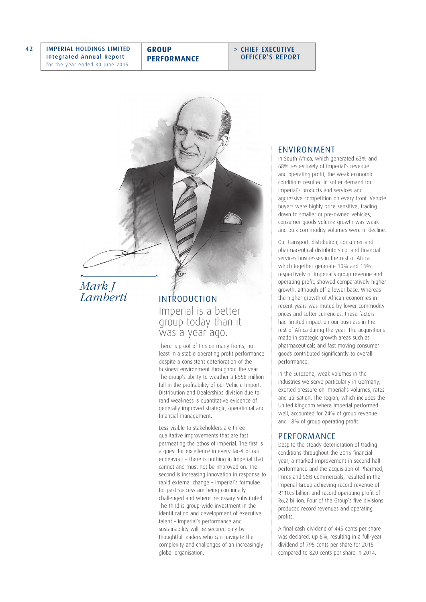42 IMPERIAL HOLDINGS LIMITED Integrated Annual Report for the year ended 30 June 2015

**GROUP PERFORMANCE** > CHIEF EXECUTIVE OFFICER'S REPORT

# *Mark J Lamberti*

INTRODUCTION Imperial is a better group today than it was a year ago.

There is proof of this on many fronts, not least in a stable operating profit performance despite a consistent deterioration of the business environment throughout the year. The group's ability to weather a R558 million fall in the profitability of our Vehicle Import, Distribution and Dealerships division due to rand weakness is quantitative evidence of generally improved strategic, operational and financial management.

Less visible to stakeholders are three qualitative improvements that are fast permeating the ethos of Imperial. The first is a quest for excellence in every facet of our endeavour – there is nothing in Imperial that cannot and must not be improved on. The second is increasing innovation in response to rapid external change – Imperial's formulae for past success are being continually challenged and where necessary substituted. The third is group-wide investment in the identification and development of executive talent – Imperial's performance and sustainability will be secured only by thoughtful leaders who can navigate the complexity and challenges of an increasingly global organisation.

#### ENVIRONMENT

In South Africa, which generated 63% and 68% respectively of Imperial's revenue and operating profit, the weak economic conditions resulted in softer demand for Imperial's products and services and aggressive competition on every front. Vehicle buyers were highly price sensitive, trading down to smaller or pre-owned vehicles, consumer goods volume growth was weak and bulk commodity volumes were in decline.

Our transport, distribution, consumer and pharmaceutical distributorship, and financial services businesses in the rest of Africa, which together generate 10% and 13% respectively of Imperial's group revenue and operating profit, showed comparatively higher growth, although off a lower base. Whereas the higher growth of African economies in recent years was muted by lower commodity prices and softer currencies, these factors had limited impact on our business in the rest of Africa during the year. The acquisitions made in strategic growth areas such as pharmaceuticals and fast moving consumer goods contributed significantly to overall performance.

In the Eurozone, weak volumes in the industries we serve particularly in Germany, exerted pressure on Imperial's volumes, rates and utilisation. The region, which includes the United Kingdom where Imperial performed well, accounted for 24% of group revenue and 18% of group operating profit.

#### PERFORMANCE

Despite the steady deterioration of trading conditions throughout the 2015 financial year, a marked improvement in second half performance and the acquisition of Pharmed, Imres and S&B Commercials, resulted in the Imperial Group achieving record revenue of R110,5 billion and record operating profit of R6,2 billion. Four of the Group's five divisions produced record revenues and operating profits.

A final cash dividend of 445 cents per share was declared, up 6%, resulting in a full-year dividend of 795 cents per share for 2015 compared to 820 cents per share in 2014.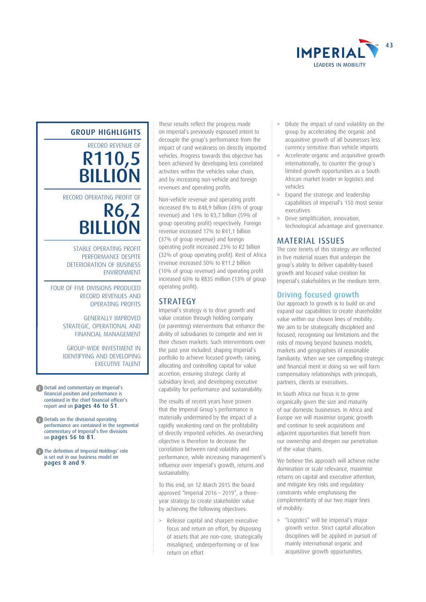

#### GROUP HIGHLIGHTS

RECORD REVENUE OF R110,5 **BILLION** 

RECORD OPERATING PROFIT OF

R6,2 **BILLION** 

 STABLE OPERATING PROFIT PERFORMANCE DESPITE DETERIORATION OF BUSINESS ENVIRONMENT

FOUR OF FIVE DIVISIONS PRODUCED RECORD REVENUES AND OPERATING PROFITS

> GENERALLY IMPROVED STRATEGIC, OPERATIONAL AND FINANCIAL MANAGEMENT

GROUP-WIDE INVESTMENT IN IDENTIFYING AND DEVELOPING EXECUTIVE TALENT

- **f** Detail and commentary on Imperial's financial position and performance is contained in the chief financial officer's report and on pages 46 to 51.
- **C** Details on the divisional operating performance are contained in the segmental commentary of Imperial's five divisions on pages 56 to 81.
- The definition of Imperial Holdings' role is set out in our business model on pages 8 and 9.

These results reflect the progress made on Imperial's previously espoused intent to decouple the group's performance from the impact of rand weakness on directly imported vehicles. Progress towards this objective has been achieved by developing less correlated activities within the vehicles value chain, and by increasing non-vehicle and foreign revenues and operating profits.

Non-vehicle revenue and operating profit increased 8% to R48,9 billion (43% of group revenue) and 14% to R3,7 billion (59% of group operating profit) respectively. Foreign revenue increased 17% to R41,1 billion (37% of group revenue) and foreign operating profit increased 23% to R2 billion (32% of group operating profit). Rest of Africa revenue increased 50% to R11.2 billion (10% of group revenue) and operating profit increased 60% to R835 million (13% of group operating profit).

### **STRATEGY**

Imperial's strategy is to drive growth and value creation through holding company (or parenting) interventions that enhance the ability of subsidiaries to compete and win in their chosen markets. Such interventions over the past year included: shaping Imperial's portfolio to achieve focused growth: raising allocating and controlling capital for value accretion; ensuring strategic clarity at subsidiary level; and developing executive capability for performance and sustainability.

The results of recent years have proven that the Imperial Group's performance is materially undermined by the impact of a rapidly weakening rand on the profitability of directly imported vehicles. An overarching objective is therefore to decrease the correlation between rand volatility and performance, while increasing management's influence over Imperial's growth, returns and sustainability.

To this end, on 12 March 2015 the board approved "Imperial 2016 – 2019", a threeyear strategy to create stakeholder value by achieving the following objectives:

Release capital and sharpen executive focus and return on effort, by disposing of assets that are non-core, strategically misaligned, underperforming or of low return on effort

- > Dilute the impact of rand volatility on the group by accelerating the organic and acquisitive growth of all businesses less currency sensitive than vehicle imports
- > Accelerate organic and acquisitive growth internationally, to counter the group's limited growth opportunities as a South African market leader in logistics and vehicles
- > Expand the strategic and leadership capabilities of Imperial's 150 most senior executives
- > Drive simplification, innovation, technological advantage and governance.

## MATERIAL ISSUES

The core tenets of this strategy are reflected in five material issues that underpin the group's ability to deliver capability-based growth and focused value creation for Imperial's stakeholders in the medium term.

## Driving focused growth

Our approach to growth is to build on and expand our capabilities to create shareholder value within our chosen lines of mobility. We aim to be strategically disciplined and focused, recognising our limitations and the risks of moving beyond business models, markets and geographies of reasonable familiarity. When we see compelling strategic and financial merit in doing so we will form compensatory relationships with principals, partners, clients or executives.

In South Africa our focus is to grow organically given the size and maturity of our domestic businesses. In Africa and Europe we will maximise organic growth and continue to seek acquisitions and adjacent opportunities that benefit from our ownership and deepen our penetration of the value chains.

We believe this approach will achieve niche domination or scale relevance, maximise returns on capital and executive attention, and mitigate key risks and regulatory constraints while emphasising the complementarity of our two major lines of mobility:

> "Logistics" will be Imperial's major growth vector. Strict capital allocation disciplines will be applied in pursuit of mainly international organic and acquisitive growth opportunities.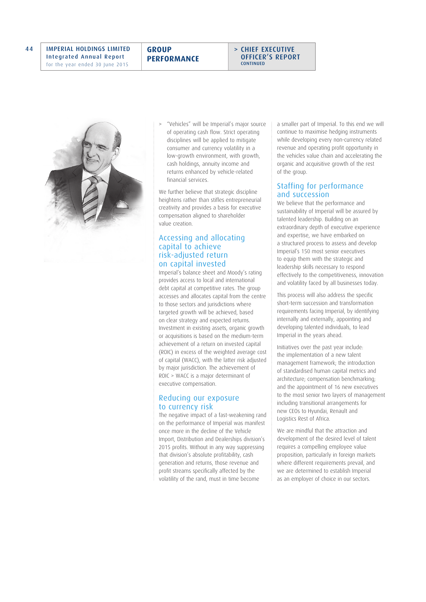**GROUP PERFORMANCE**





> "Vehicles" will be Imperial's major source of operating cash flow. Strict operating disciplines will be applied to mitigate consumer and currency volatility in a low-growth environment, with growth, cash holdings, annuity income and returns enhanced by vehicle-related financial services.

We further believe that strategic discipline heightens rather than stifles entrepreneurial creativity and provides a basis for executive compensation aligned to shareholder value creation.

#### Accessing and allocating capital to achieve risk-adjusted return on capital invested

Imperial's balance sheet and Moody's rating provides access to local and international debt capital at competitive rates. The group accesses and allocates capital from the centre to those sectors and jurisdictions where targeted growth will be achieved, based on clear strategy and expected returns. Investment in existing assets, organic growth or acquisitions is based on the medium-term achievement of a return on invested capital (ROIC) in excess of the weighted average cost of capital (WACC), with the latter risk adjusted by major jurisdiction. The achievement of ROIC > WACC is a major determinant of executive compensation.

### Reducing our exposure to currency risk

The negative impact of a fast-weakening rand on the performance of Imperial was manifest once more in the decline of the Vehicle Import, Distribution and Dealerships division's 2015 profits. Without in any way suppressing that division's absolute profitability, cash generation and returns, those revenue and profit streams specifically affected by the volatility of the rand, must in time become

a smaller part of Imperial. To this end we will continue to maximise hedging instruments while developing every non-currency related revenue and operating profit opportunity in the vehicles value chain and accelerating the organic and acquisitive growth of the rest of the group.

## Staffing for performance and succession

We believe that the performance and sustainability of Imperial will be assured by talented leadership. Building on an extraordinary depth of executive experience and expertise, we have embarked on a structured process to assess and develop Imperial's 150 most senior executives to equip them with the strategic and leadership skills necessary to respond effectively to the competitiveness, innovation and volatility faced by all businesses today.

This process will also address the specific short-term succession and transformation requirements facing Imperial, by identifying internally and externally, appointing and developing talented individuals, to lead Imperial in the years ahead.

Initiatives over the past year include: the implementation of a new talent management framework; the introduction of standardised human capital metrics and architecture; compensation benchmarking; and the appointment of 16 new executives to the most senior two layers of management including transitional arrangements for new CEOs to Hyundai, Renault and Logistics Rest of Africa.

We are mindful that the attraction and development of the desired level of talent requires a compelling employee value proposition, particularly in foreign markets where different requirements prevail, and we are determined to establish Imperial as an employer of choice in our sectors.